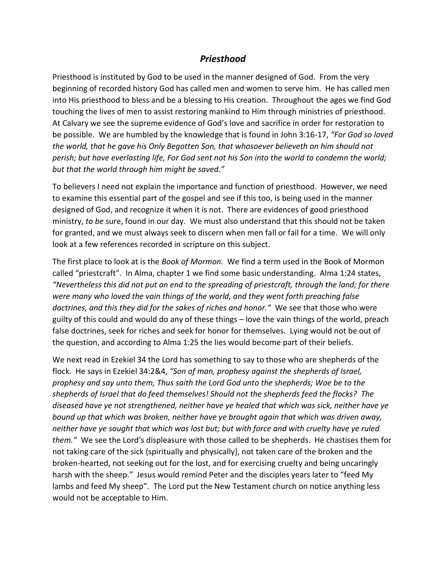## *Priesthood*

Priesthood is instituted by God to be used in the manner designed of God. From the very beginning of recorded history God has called men and women to serve him. He has called men into His priesthood to bless and be a blessing to His creation. Throughout the ages we find God touching the lives of men to assist restoring mankind to Him through ministries of priesthood. At Calvary we see the supreme evidence of God's love and sacrifice in order for restoration to be possible. We are humbled by the knowledge that is found in John 3:16-17, *"For God so loved the world, that he gave his Only Begotten Son, that whosoever believeth on him should not perish; but have everlasting life, For God sent not his Son into the world to condemn the world; but that the world through him might be saved."*

To believers I need not explain the importance and function of priesthood. However, we need to examine this essential part of the gospel and see if this too, is being used in the manner designed of God, and recognize it when it is not. There are evidences of good priesthood ministry, *to be* sure, found in our day. We must also understand that this should not be taken for granted, and we must always seek to discern when men fall or fail for a time. We will only look at a few references recorded in scripture on this subject.

The first place to look at is the *Book of Mormon.* We find a term used in the Book of Mormon called "priestcraft". In Alma, chapter 1 we find some basic understanding. Alma 1:24 states, *"Nevertheless this did not put an end to the spreading of priestcraft, through the land; for there were many who loved the vain things of the world, and they went forth preaching false doctrines, and this they did for the sakes of riches and honor."* We see that those who were guilty of this could and would do any of these things – love the vain things of the world, preach false doctrines, seek for riches and seek for honor for themselves. Lying would not be out of the question, and according to Alma 1:25 the lies would become part of their beliefs.

We next read in Ezekiel 34 the Lord has something to say to those who are shepherds of the flock. He says in Ezekiel 34:2&4, *"Son of man, prophesy against the shepherds of Israel, prophesy and say unto them, Thus saith the Lord God unto the shepherds; Woe be to the shepherds of Israel that do feed themselves! Should not the shepherds feed the flocks? The diseased have ye not strengthened, neither have ye healed that which was sick, neither have ye bound up that which was broken, neither have ye brought again that which was driven away, neither have ye sought that which was lost but; but with force and with cruelty have ye ruled them."* We see the Lord's displeasure with those called to be shepherds. He chastises them for not taking care of the sick {spiritually and physically}, not taken care of the broken and the broken-hearted, not seeking out for the lost, and for exercising cruelty and being uncaringly harsh with the sheep." Jesus would remind Peter and the disciples years later to "feed My lambs and feed My sheep". The Lord put the New Testament church on notice anything less would not be acceptable to Him.